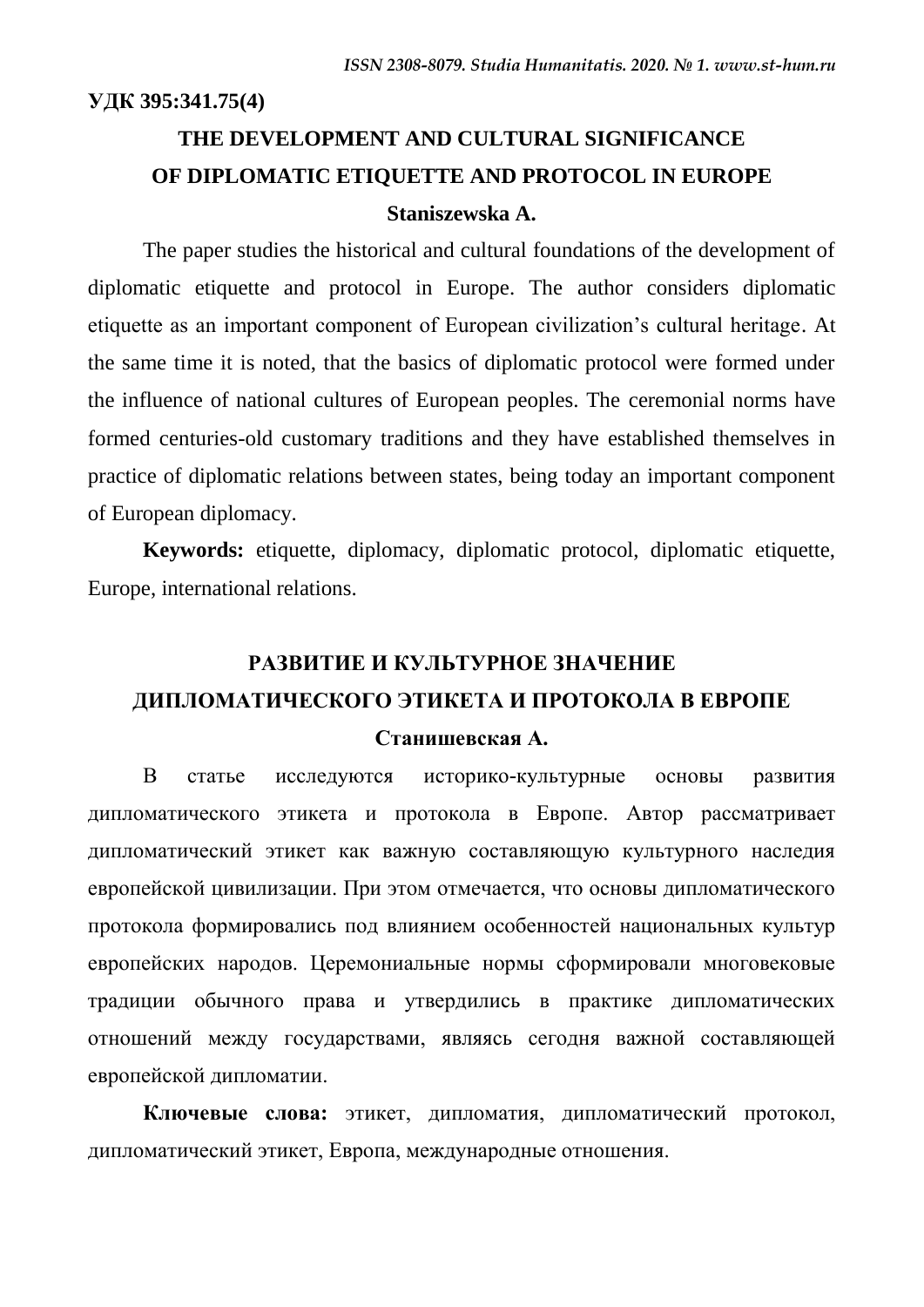**УДК 395:341.75(4)**

# **THE DEVELOPMENT AND CULTURAL SIGNIFICANCE OF DIPLOMATIC ETIQUETTE AND PROTOCOL IN EUROPE Staniszewska A.**

The paper studies the historical and cultural foundations of the development of diplomatic etiquette and protocol in Europe. The author considers diplomatic etiquette as an important component of European civilization's cultural heritage. At the same time it is noted, that the basics of diplomatic protocol were formed under the influence of national cultures of European peoples. The ceremonial norms have formed centuries-old customary traditions and they have established themselves in practice of diplomatic relations between states, being today an important component of European diplomacy.

**Keywords:** etiquette, diplomacy, diplomatic protocol, diplomatic etiquette, Europe, international relations.

# **РАЗВИТИЕ И КУЛЬТУРНОЕ ЗНАЧЕНИЕ ДИПЛОМАТИЧЕСКОГО ЭТИКЕТА И ПРОТОКОЛА В ЕВРОПЕ**

#### **Станишевская А.**

В статье исследуются историко-культурные основы развития дипломатического этикета и протокола в Европе. Автор рассматривает дипломатический этикет как важную составляющую культурного наследия европейской цивилизации. При этом отмечается, что основы дипломатического протокола формировались под влиянием особенностей национальных культур европейских народов. Церемониальные нормы сформировали многовековые традиции обычного права и утвердились в практике дипломатических отношений между государствами, являясь сегодня важной составляющей европейской дипломатии.

**Ключевые слова:** этикет, дипломатия, дипломатический протокол, дипломатический этикет, Европа, международные отношения.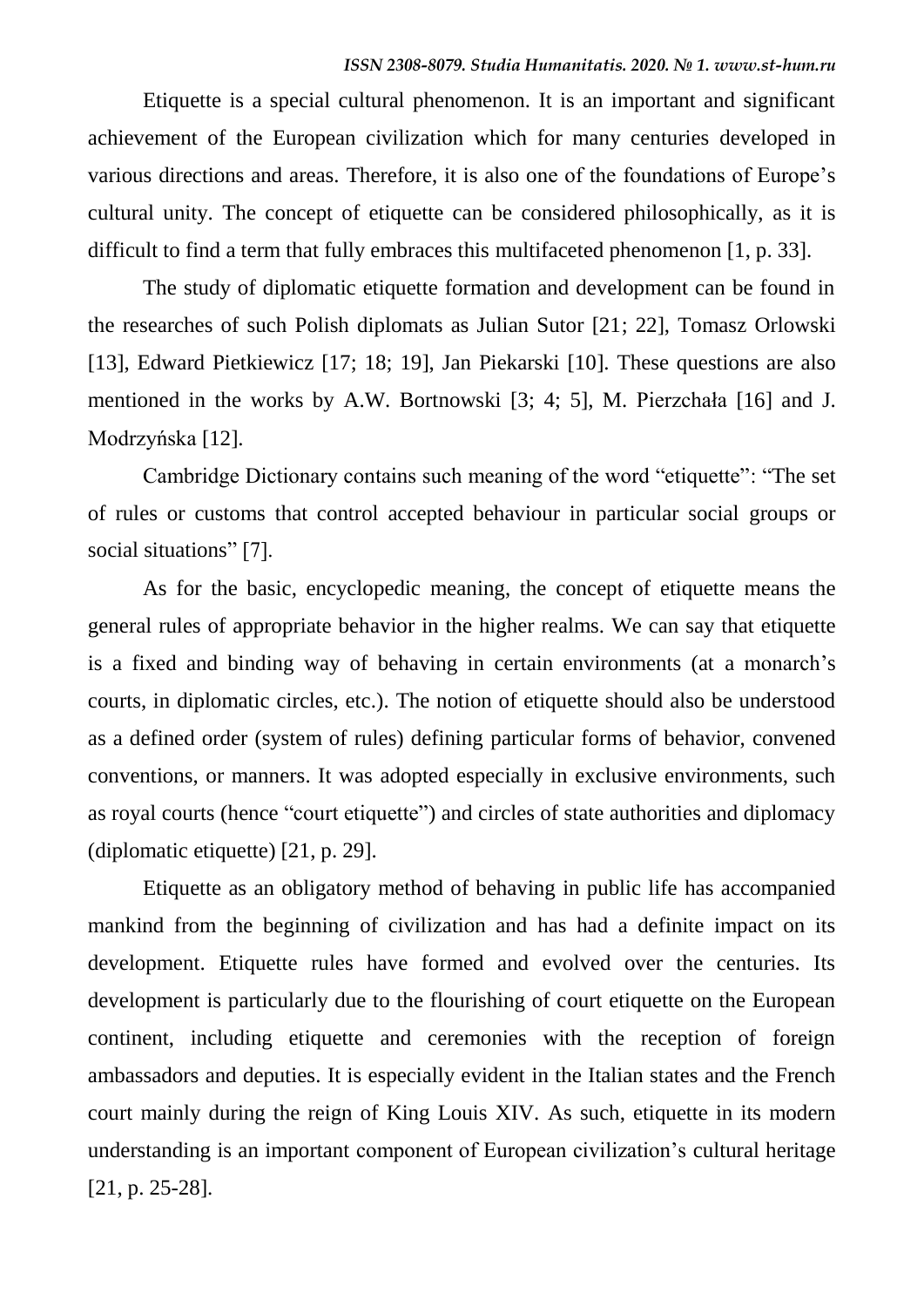Etiquette is a special cultural phenomenon. It is an important and significant achievement of the European civilization which for many centuries developed in various directions and areas. Therefore, it is also one of the foundations of Europe's cultural unity. The concept of etiquette can be considered philosophically, as it is difficult to find a term that fully embraces this multifaceted phenomenon [1, p. 33].

The study of diplomatic etiquette formation and development can be found in the researches of such Polish diplomats as Julian Sutor [21; 22], Tomasz Orlowski [13], Edward Pietkiewicz [17; 18; 19], Jan Piekarski [10]. These questions are also mentioned in the works by A.W. Bortnowski [3; 4; 5], M. Pierzchała [16] and J. Modrzyńska [12].

Cambridge Dictionary contains such meaning of the word "etiquette": "The set of rules or customs that control accepted behaviour in particular social groups or social situations" [7].

As for the basic, encyclopedic meaning, the concept of etiquette means the general rules of appropriate behavior in the higher realms. We can say that etiquette is a fixed and binding way of behaving in certain environments (at a monarch's courts, in diplomatic circles, etc.). The notion of etiquette should also be understood as a defined order (system of rules) defining particular forms of behavior, convened conventions, or manners. It was adopted especially in exclusive environments, such as royal courts (hence "court etiquette") and circles of state authorities and diplomacy (diplomatic etiquette) [21, p. 29].

Etiquette as an obligatory method of behaving in public life has accompanied mankind from the beginning of civilization and has had a definite impact on its development. Etiquette rules have formed and evolved over the centuries. Its development is particularly due to the flourishing of court etiquette on the European continent, including etiquette and ceremonies with the reception of foreign ambassadors and deputies. It is especially evident in the Italian states and the French court mainly during the reign of King Louis XIV. As such, etiquette in its modern understanding is an important component of European civilization's cultural heritage [21, p. 25-28].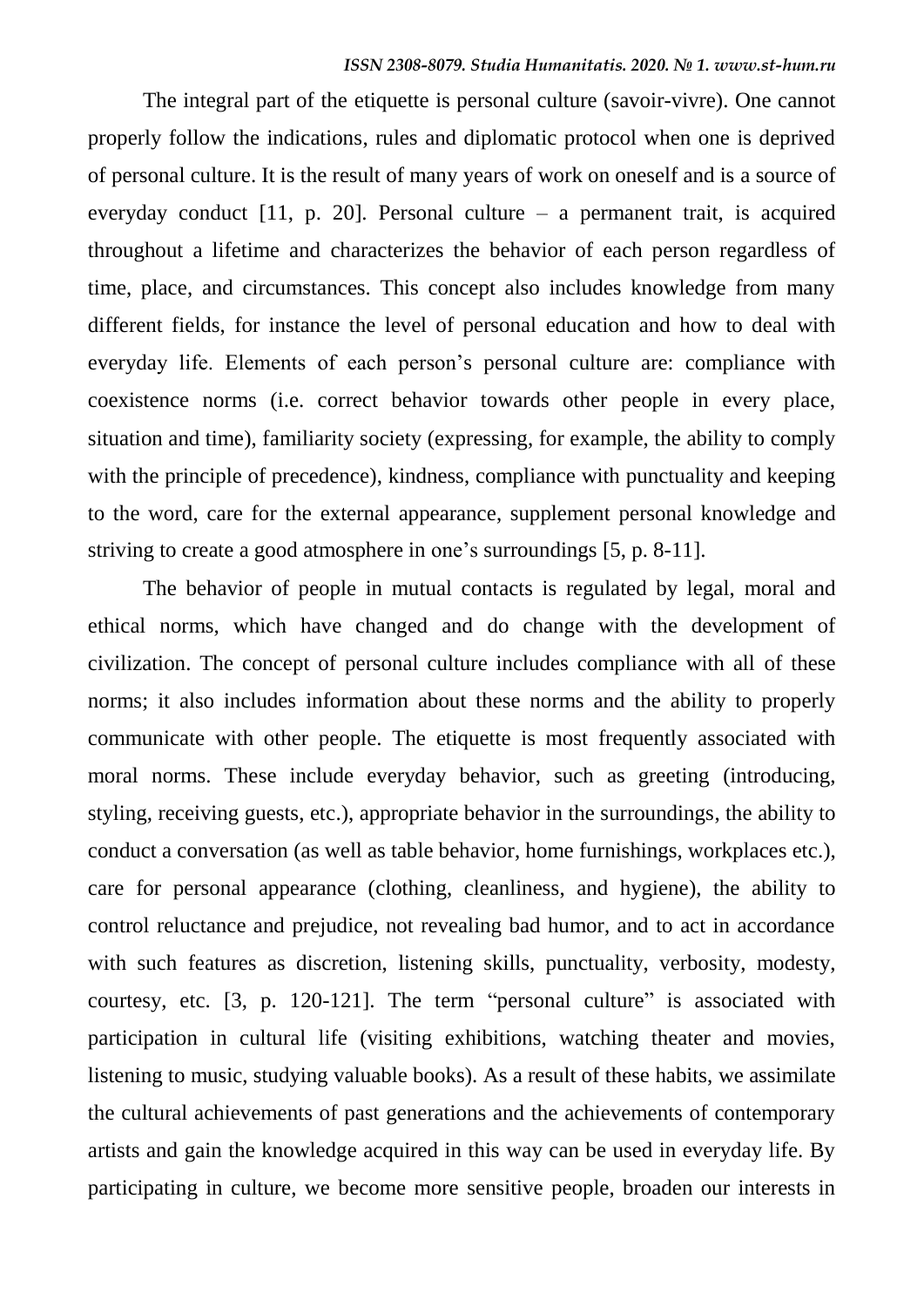The integral part of the etiquette is personal culture (savoir-vivre). One cannot properly follow the indications, rules and diplomatic protocol when one is deprived of personal culture. It is the result of many years of work on oneself and is a source of everyday conduct [11, p. 20]. Personal culture – a permanent trait, is acquired throughout a lifetime and characterizes the behavior of each person regardless of time, place, and circumstances. This concept also includes knowledge from many different fields, for instance the level of personal education and how to deal with everyday life. Elements of each person's personal culture are: compliance with coexistence norms (i.e. correct behavior towards other people in every place, situation and time), familiarity society (expressing, for example, the ability to comply with the principle of precedence), kindness, compliance with punctuality and keeping to the word, care for the external appearance, supplement personal knowledge and striving to create a good atmosphere in one's surroundings [5, p. 8-11].

The behavior of people in mutual contacts is regulated by legal, moral and ethical norms, which have changed and do change with the development of civilization. The concept of personal culture includes compliance with all of these norms; it also includes information about these norms and the ability to properly communicate with other people. The etiquette is most frequently associated with moral norms. These include everyday behavior, such as greeting (introducing, styling, receiving guests, etc.), appropriate behavior in the surroundings, the ability to conduct a conversation (as well as table behavior, home furnishings, workplaces etc.), care for personal appearance (clothing, cleanliness, and hygiene), the ability to control reluctance and prejudice, not revealing bad humor, and to act in accordance with such features as discretion, listening skills, punctuality, verbosity, modesty, courtesy, etc. [3, p. 120-121]. The term "personal culture" is associated with participation in cultural life (visiting exhibitions, watching theater and movies, listening to music, studying valuable books). As a result of these habits, we assimilate the cultural achievements of past generations and the achievements of contemporary artists and gain the knowledge acquired in this way can be used in everyday life. By participating in culture, we become more sensitive people, broaden our interests in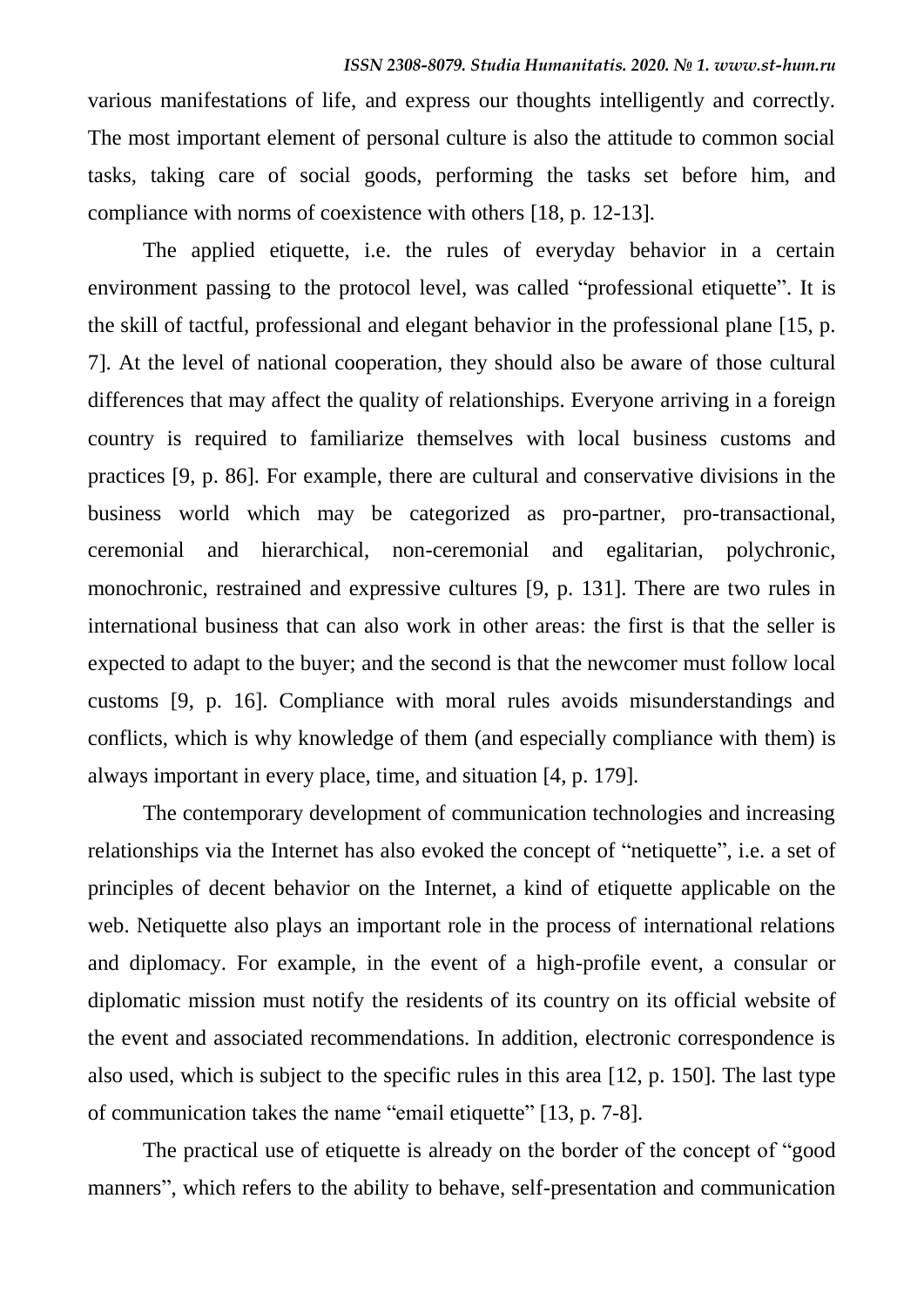various manifestations of life, and express our thoughts intelligently and correctly. The most important element of personal culture is also the attitude to common social tasks, taking care of social goods, performing the tasks set before him, and compliance with norms of coexistence with others [18, p. 12-13].

The applied etiquette, i.e. the rules of everyday behavior in a certain environment passing to the protocol level, was called "professional etiquette". It is the skill of tactful, professional and elegant behavior in the professional plane [15, p. 7]. At the level of national cooperation, they should also be aware of those cultural differences that may affect the quality of relationships. Everyone arriving in a foreign country is required to familiarize themselves with local business customs and practices [9, p. 86]. For example, there are cultural and conservative divisions in the business world which may be categorized as pro-partner, pro-transactional, ceremonial and hierarchical, non-ceremonial and egalitarian, polychronic, monochronic, restrained and expressive cultures [9, p. 131]. There are two rules in international business that can also work in other areas: the first is that the seller is expected to adapt to the buyer; and the second is that the newcomer must follow local customs [9, p. 16]. Compliance with moral rules avoids misunderstandings and conflicts, which is why knowledge of them (and especially compliance with them) is always important in every place, time, and situation [4, p. 179].

The contemporary development of communication technologies and increasing relationships via the Internet has also evoked the concept of "netiquette", i.e. a set of principles of decent behavior on the Internet, a kind of etiquette applicable on the web. Netiquette also plays an important role in the process of international relations and diplomacy. For example, in the event of a high-profile event, a consular or diplomatic mission must notify the residents of its country on its official website of the event and associated recommendations. In addition, electronic correspondence is also used, which is subject to the specific rules in this area [12, p. 150]. The last type of communication takes the name "email etiquette" [13, p. 7-8].

The practical use of etiquette is already on the border of the concept of "good manners", which refers to the ability to behave, self-presentation and communication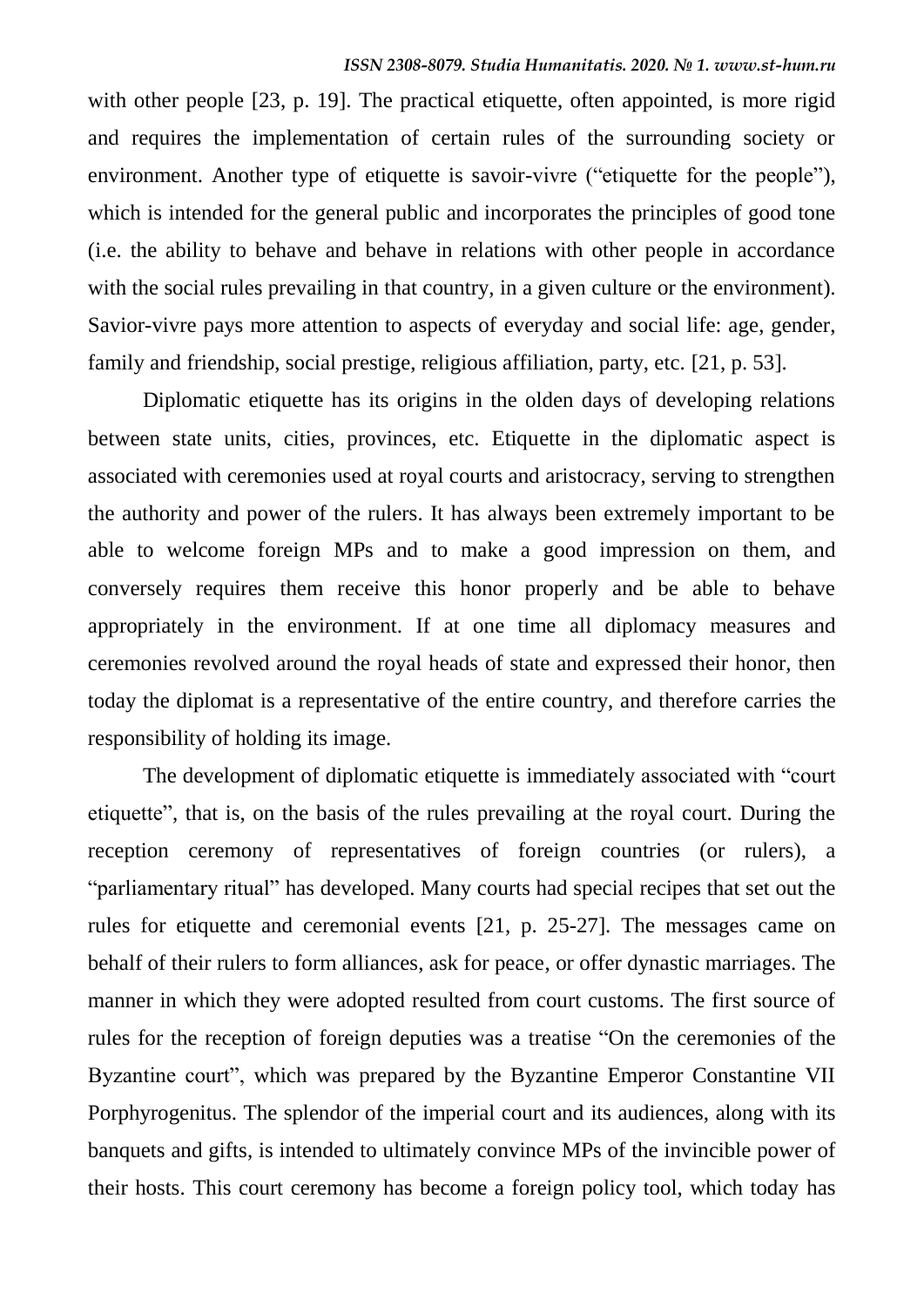with other people [23, p. 19]. The practical etiquette, often appointed, is more rigid and requires the implementation of certain rules of the surrounding society or environment. Another type of etiquette is savoir-vivre ("etiquette for the people"), which is intended for the general public and incorporates the principles of good tone (i.e. the ability to behave and behave in relations with other people in accordance with the social rules prevailing in that country, in a given culture or the environment). Savior-vivre pays more attention to aspects of everyday and social life: age, gender, family and friendship, social prestige, religious affiliation, party, etc. [21, p. 53].

Diplomatic etiquette has its origins in the olden days of developing relations between state units, cities, provinces, etc. Etiquette in the diplomatic aspect is associated with ceremonies used at royal courts and aristocracy, serving to strengthen the authority and power of the rulers. It has always been extremely important to be able to welcome foreign MPs and to make a good impression on them, and conversely requires them receive this honor properly and be able to behave appropriately in the environment. If at one time all diplomacy measures and ceremonies revolved around the royal heads of state and expressed their honor, then today the diplomat is a representative of the entire country, and therefore carries the responsibility of holding its image.

The development of diplomatic etiquette is immediately associated with "court etiquette", that is, on the basis of the rules prevailing at the royal court. During the reception ceremony of representatives of foreign countries (or rulers), a "parliamentary ritual" has developed. Many courts had special recipes that set out the rules for etiquette and ceremonial events [21, p. 25-27]. The messages came on behalf of their rulers to form alliances, ask for peace, or offer dynastic marriages. The manner in which they were adopted resulted from court customs. The first source of rules for the reception of foreign deputies was a treatise "On the ceremonies of the Byzantine court", which was prepared by the Byzantine Emperor Constantine VII Porphyrogenitus. The splendor of the imperial court and its audiences, along with its banquets and gifts, is intended to ultimately convince MPs of the invincible power of their hosts. This court ceremony has become a foreign policy tool, which today has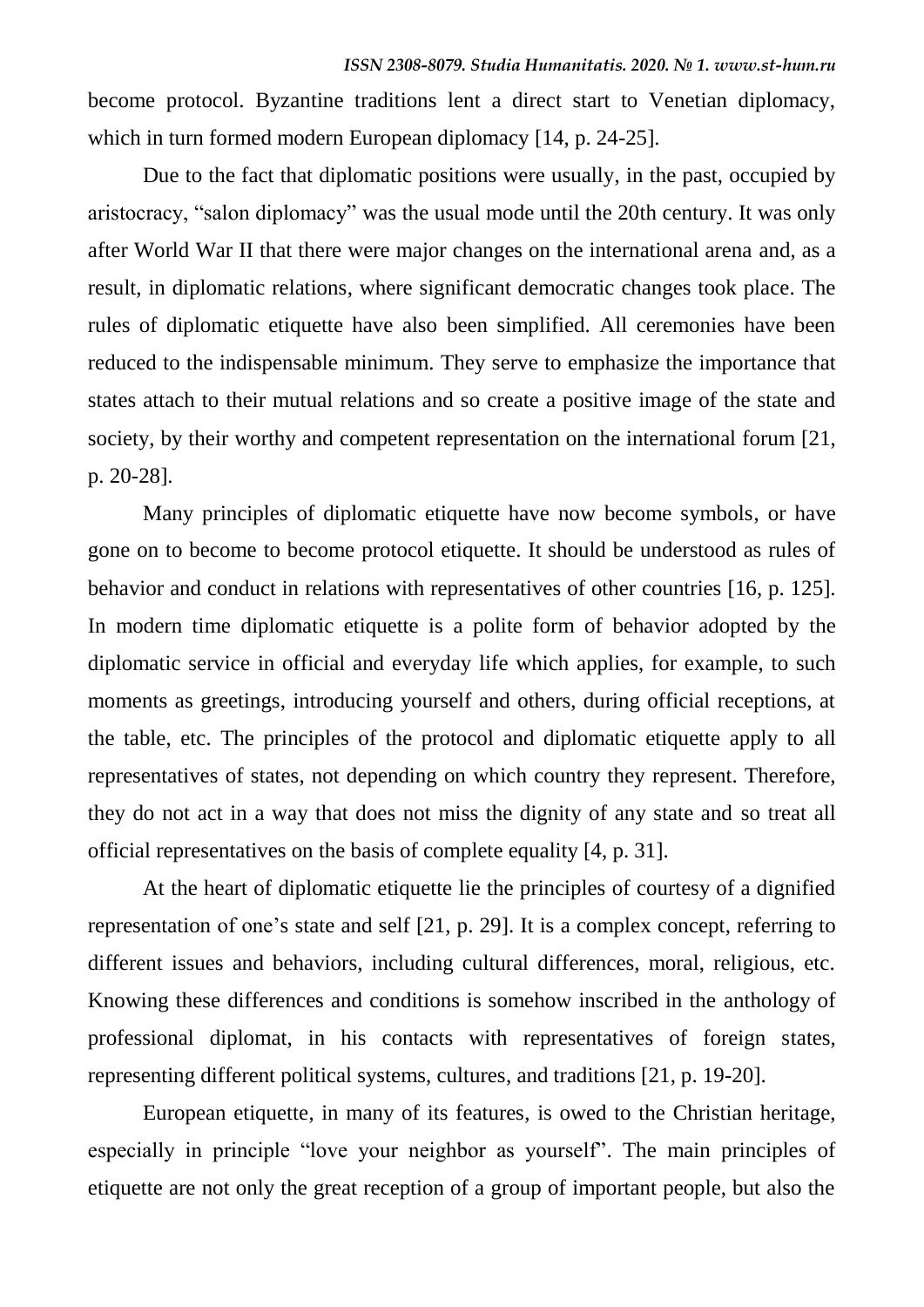become protocol. Byzantine traditions lent a direct start to Venetian diplomacy, which in turn formed modern European diplomacy [14, p. 24-25].

Due to the fact that diplomatic positions were usually, in the past, occupied by aristocracy, "salon diplomacy" was the usual mode until the 20th century. It was only after World War II that there were major changes on the international arena and, as a result, in diplomatic relations, where significant democratic changes took place. The rules of diplomatic etiquette have also been simplified. All ceremonies have been reduced to the indispensable minimum. They serve to emphasize the importance that states attach to their mutual relations and so create a positive image of the state and society, by their worthy and competent representation on the international forum [21, p. 20-28].

Many principles of diplomatic etiquette have now become symbols, or have gone on to become to become protocol etiquette. It should be understood as rules of behavior and conduct in relations with representatives of other countries [16, p. 125]. In modern time diplomatic etiquette is a polite form of behavior adopted by the diplomatic service in official and everyday life which applies, for example, to such moments as greetings, introducing yourself and others, during official receptions, at the table, etc. The principles of the protocol and diplomatic etiquette apply to all representatives of states, not depending on which country they represent. Therefore, they do not act in a way that does not miss the dignity of any state and so treat all official representatives on the basis of complete equality [4, p. 31].

At the heart of diplomatic etiquette lie the principles of courtesy of a dignified representation of one's state and self [21, p. 29]. It is a complex concept, referring to different issues and behaviors, including cultural differences, moral, religious, etc. Knowing these differences and conditions is somehow inscribed in the anthology of professional diplomat, in his contacts with representatives of foreign states, representing different political systems, cultures, and traditions [21, p. 19-20].

European etiquette, in many of its features, is owed to the Christian heritage, especially in principle "love your neighbor as yourself". The main principles of etiquette are not only the great reception of a group of important people, but also the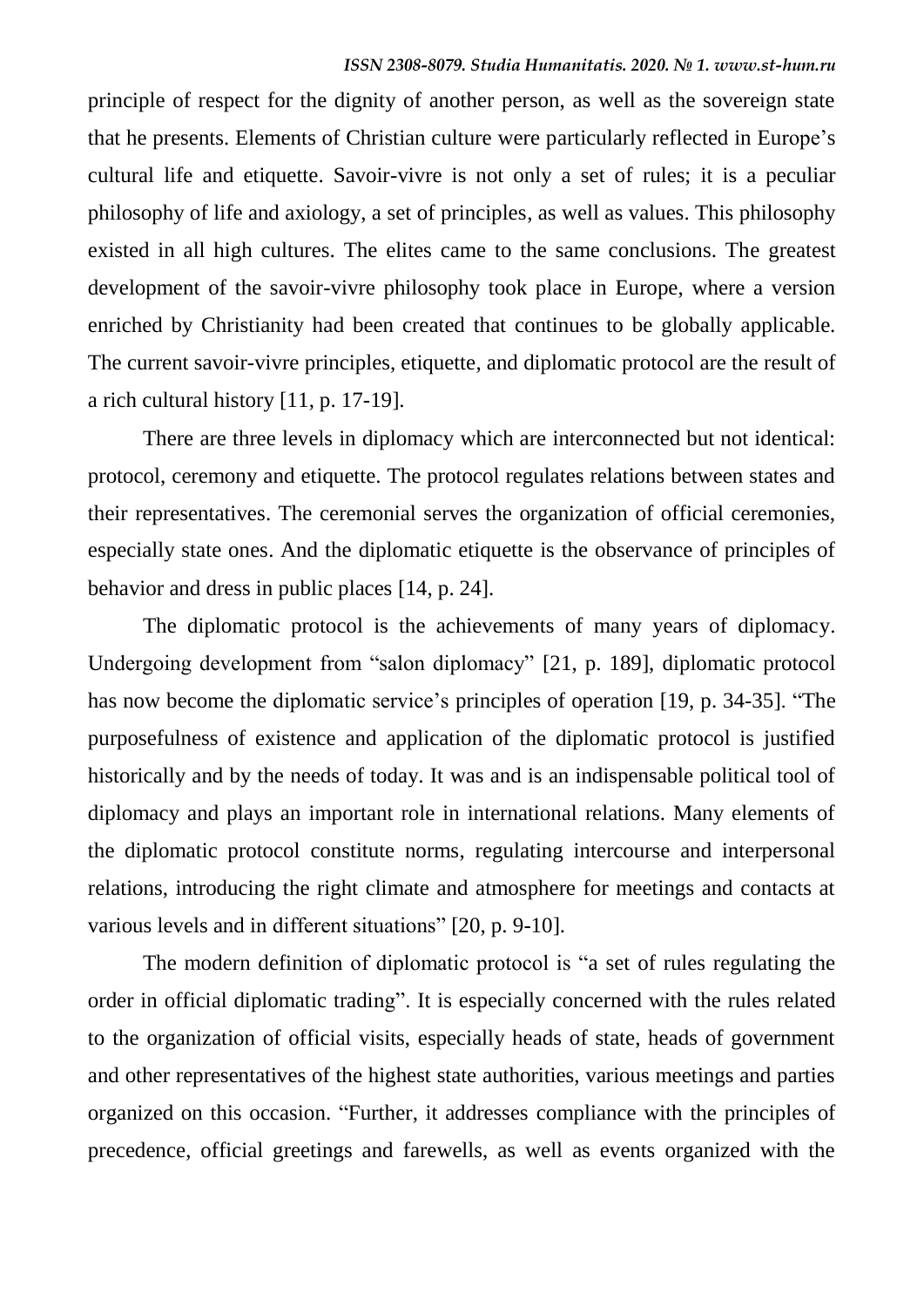principle of respect for the dignity of another person, as well as the sovereign state that he presents. Elements of Christian culture were particularly reflected in Europe's cultural life and etiquette. Savoir-vivre is not only a set of rules; it is a peculiar philosophy of life and axiology, a set of principles, as well as values. This philosophy existed in all high cultures. The elites came to the same conclusions. The greatest development of the savoir-vivre philosophy took place in Europe, where a version enriched by Christianity had been created that continues to be globally applicable. The current savoir-vivre principles, etiquette, and diplomatic protocol are the result of a rich cultural history [11, p. 17-19].

There are three levels in diplomacy which are interconnected but not identical: protocol, ceremony and etiquette. The protocol regulates relations between states and their representatives. The ceremonial serves the organization of official ceremonies, especially state ones. And the diplomatic etiquette is the observance of principles of behavior and dress in public places [14, p. 24].

The diplomatic protocol is the achievements of many years of diplomacy. Undergoing development from "salon diplomacy" [21, p. 189], diplomatic protocol has now become the diplomatic service's principles of operation [19, p. 34-35]. "The purposefulness of existence and application of the diplomatic protocol is justified historically and by the needs of today. It was and is an indispensable political tool of diplomacy and plays an important role in international relations. Many elements of the diplomatic protocol constitute norms, regulating intercourse and interpersonal relations, introducing the right climate and atmosphere for meetings and contacts at various levels and in different situations" [20, p. 9-10].

The modern definition of diplomatic protocol is "a set of rules regulating the order in official diplomatic trading". It is especially concerned with the rules related to the organization of official visits, especially heads of state, heads of government and other representatives of the highest state authorities, various meetings and parties organized on this occasion. "Further, it addresses compliance with the principles of precedence, official greetings and farewells, as well as events organized with the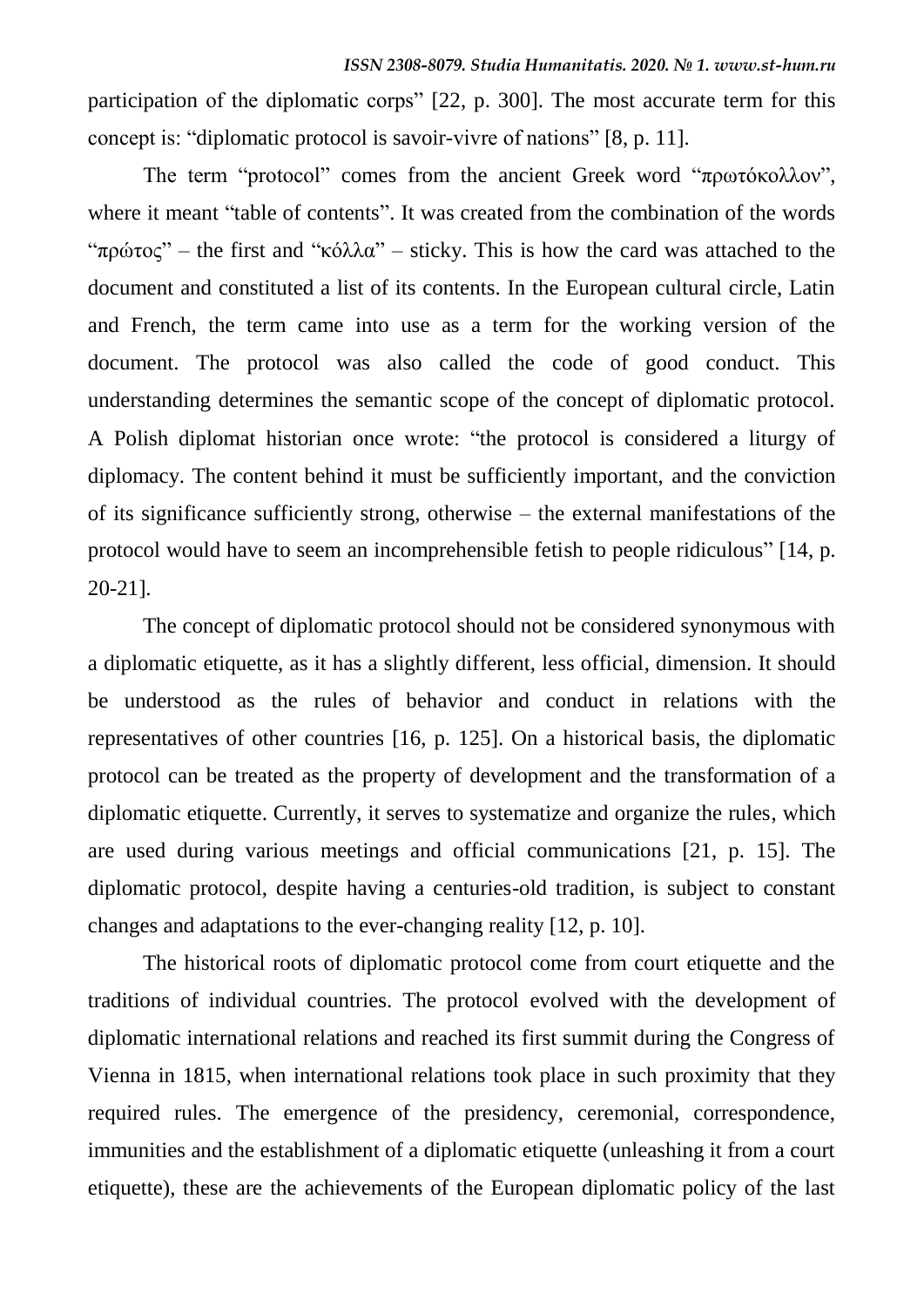participation of the diplomatic corps" [22, p. 300]. The most accurate term for this concept is: "diplomatic protocol is savoir-vivre of nations" [8, p. 11].

The term "protocol" comes from the ancient Greek word "πρωτόκολλον", where it meant "table of contents". It was created from the combination of the words "πρώτος" – the first and "κόλλα" – sticky. This is how the card was attached to the document and constituted a list of its contents. In the European cultural circle, Latin and French, the term came into use as a term for the working version of the document. The protocol was also called the code of good conduct. This understanding determines the semantic scope of the concept of diplomatic protocol. A Polish diplomat historian once wrote: "the protocol is considered a liturgy of diplomacy. The content behind it must be sufficiently important, and the conviction of its significance sufficiently strong, otherwise – the external manifestations of the protocol would have to seem an incomprehensible fetish to people ridiculous" [14, p. 20-21].

The concept of diplomatic protocol should not be considered synonymous with a diplomatic etiquette, as it has a slightly different, less official, dimension. It should be understood as the rules of behavior and conduct in relations with the representatives of other countries [16, p. 125]. On a historical basis, the diplomatic protocol can be treated as the property of development and the transformation of a diplomatic etiquette. Currently, it serves to systematize and organize the rules, which are used during various meetings and official communications [21, p. 15]. The diplomatic protocol, despite having a centuries-old tradition, is subject to constant changes and adaptations to the ever-changing reality [12, p. 10].

The historical roots of diplomatic protocol come from court etiquette and the traditions of individual countries. The protocol evolved with the development of diplomatic international relations and reached its first summit during the Congress of Vienna in 1815, when international relations took place in such proximity that they required rules. The emergence of the presidency, ceremonial, correspondence, immunities and the establishment of a diplomatic etiquette (unleashing it from a court etiquette), these are the achievements of the European diplomatic policy of the last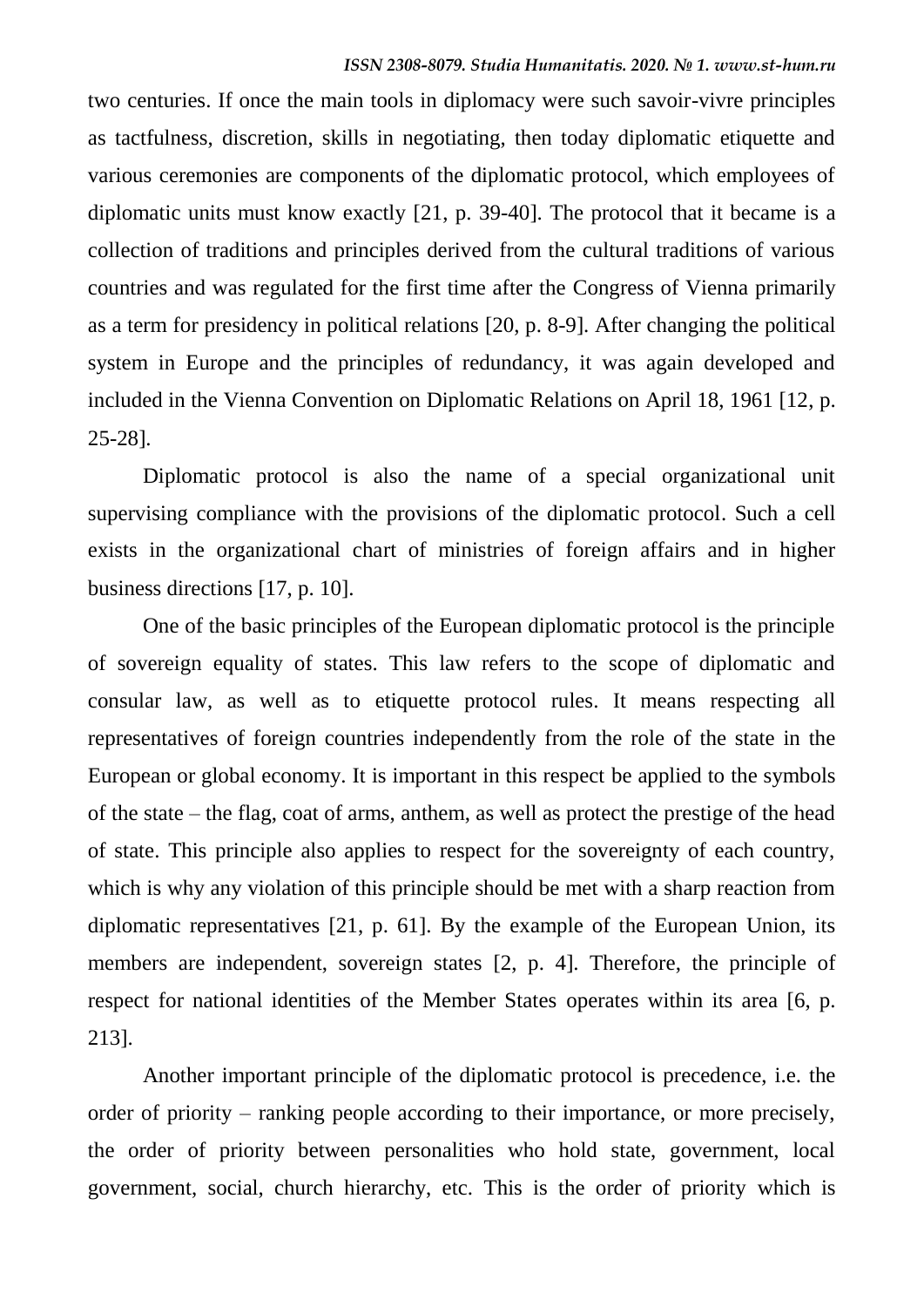two centuries. If once the main tools in diplomacy were such savoir-vivre principles as tactfulness, discretion, skills in negotiating, then today diplomatic etiquette and various ceremonies are components of the diplomatic protocol, which employees of diplomatic units must know exactly [21, p. 39-40]. The protocol that it became is a collection of traditions and principles derived from the cultural traditions of various countries and was regulated for the first time after the Congress of Vienna primarily as a term for presidency in political relations [20, p. 8-9]. After changing the political system in Europe and the principles of redundancy, it was again developed and included in the Vienna Convention on Diplomatic Relations on April 18, 1961 [12, p. 25-28].

Diplomatic protocol is also the name of a special organizational unit supervising compliance with the provisions of the diplomatic protocol. Such a cell exists in the organizational chart of ministries of foreign affairs and in higher business directions [17, p. 10].

One of the basic principles of the European diplomatic protocol is the principle of sovereign equality of states. This law refers to the scope of diplomatic and consular law, as well as to etiquette protocol rules. It means respecting all representatives of foreign countries independently from the role of the state in the European or global economy. It is important in this respect be applied to the symbols of the state – the flag, coat of arms, anthem, as well as protect the prestige of the head of state. This principle also applies to respect for the sovereignty of each country, which is why any violation of this principle should be met with a sharp reaction from diplomatic representatives [21, p. 61]. By the example of the European Union, its members are independent, sovereign states [2, p. 4]. Therefore, the principle of respect for national identities of the Member States operates within its area [6, p. 213].

Another important principle of the diplomatic protocol is precedence, i.e. the order of priority – ranking people according to their importance, or more precisely, the order of priority between personalities who hold state, government, local government, social, church hierarchy, etc. This is the order of priority which is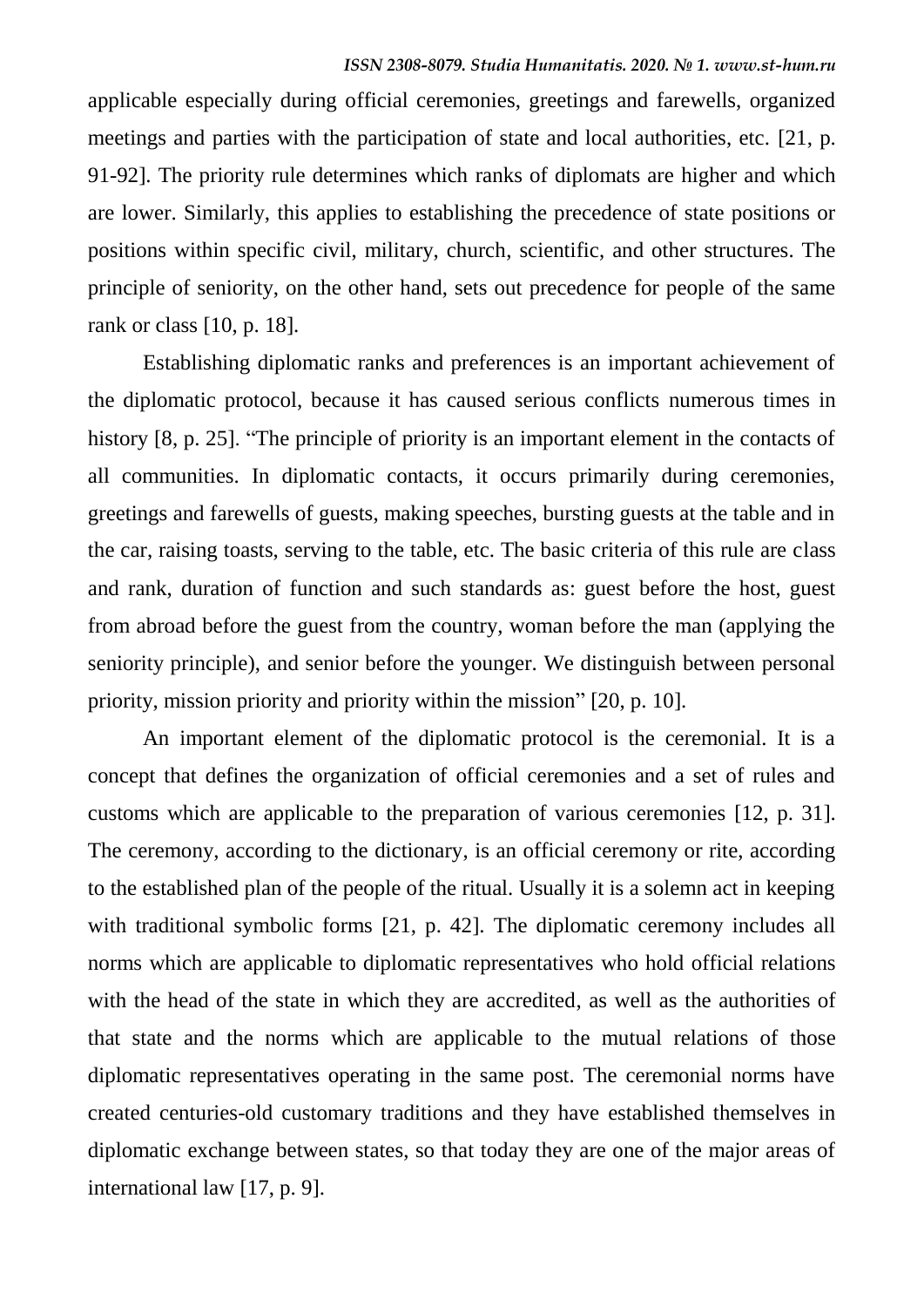applicable especially during official ceremonies, greetings and farewells, organized meetings and parties with the participation of state and local authorities, etc. [21, p. 91-92]. The priority rule determines which ranks of diplomats are higher and which are lower. Similarly, this applies to establishing the precedence of state positions or positions within specific civil, military, church, scientific, and other structures. The principle of seniority, on the other hand, sets out precedence for people of the same rank or class [10, p. 18].

Establishing diplomatic ranks and preferences is an important achievement of the diplomatic protocol, because it has caused serious conflicts numerous times in history [8, p. 25]. "The principle of priority is an important element in the contacts of all communities. In diplomatic contacts, it occurs primarily during ceremonies, greetings and farewells of guests, making speeches, bursting guests at the table and in the car, raising toasts, serving to the table, etc. The basic criteria of this rule are class and rank, duration of function and such standards as: guest before the host, guest from abroad before the guest from the country, woman before the man (applying the seniority principle), and senior before the younger. We distinguish between personal priority, mission priority and priority within the mission" [20, p. 10].

An important element of the diplomatic protocol is the ceremonial. It is a concept that defines the organization of official ceremonies and a set of rules and customs which are applicable to the preparation of various ceremonies [12, p. 31]. The ceremony, according to the dictionary, is an official ceremony or rite, according to the established plan of the people of the ritual. Usually it is a solemn act in keeping with traditional symbolic forms [21, p. 42]. The diplomatic ceremony includes all norms which are applicable to diplomatic representatives who hold official relations with the head of the state in which they are accredited, as well as the authorities of that state and the norms which are applicable to the mutual relations of those diplomatic representatives operating in the same post. The ceremonial norms have created centuries-old customary traditions and they have established themselves in diplomatic exchange between states, so that today they are one of the major areas of international law [17, p. 9].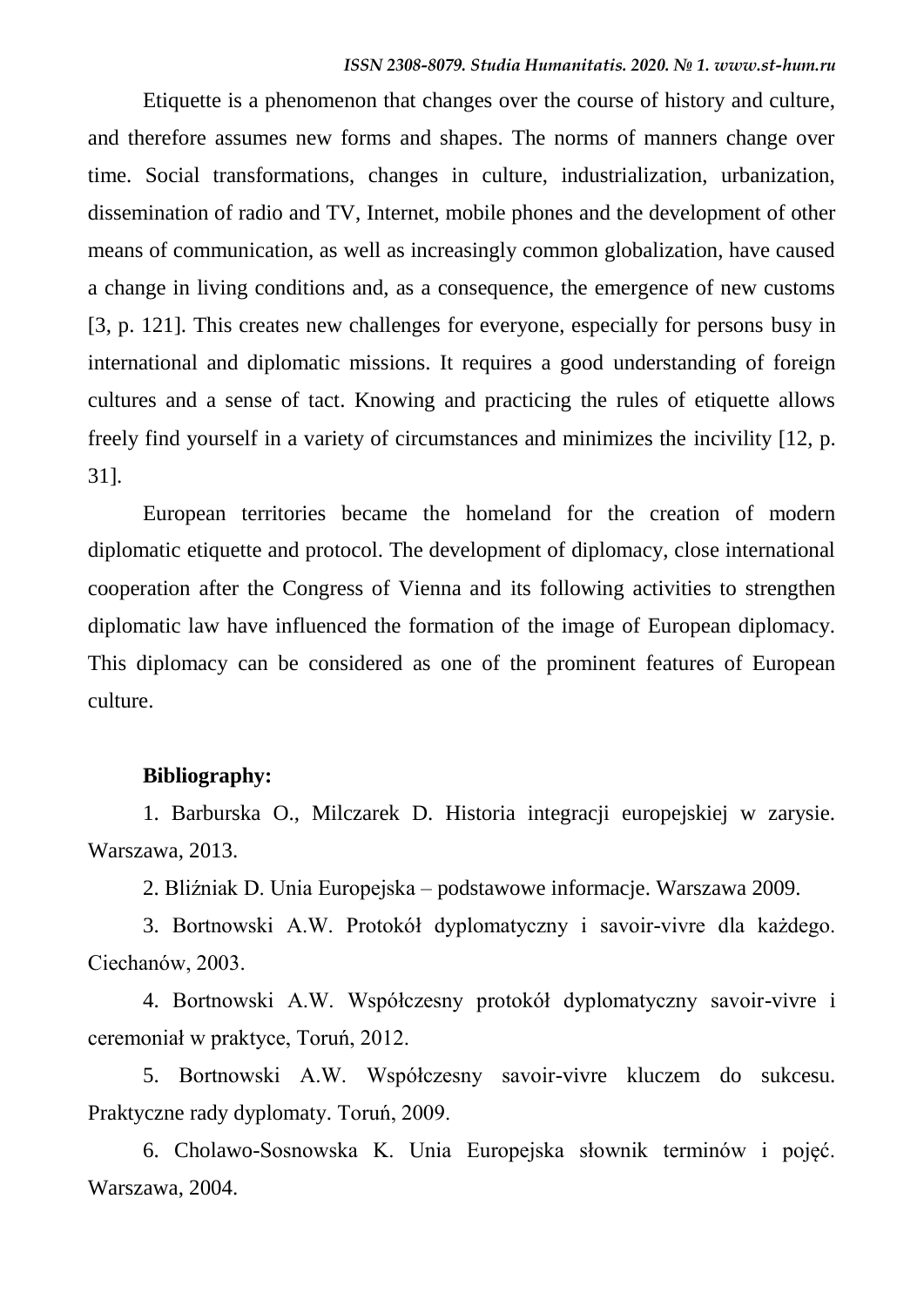Etiquette is a phenomenon that changes over the course of history and culture, and therefore assumes new forms and shapes. The norms of manners change over time. Social transformations, changes in culture, industrialization, urbanization, dissemination of radio and TV, Internet, mobile phones and the development of other means of communication, as well as increasingly common globalization, have caused a change in living conditions and, as a consequence, the emergence of new customs [3, p. 121]. This creates new challenges for everyone, especially for persons busy in international and diplomatic missions. It requires a good understanding of foreign cultures and a sense of tact. Knowing and practicing the rules of etiquette allows freely find yourself in a variety of circumstances and minimizes the incivility [12, p. 31].

European territories became the homeland for the creation of modern diplomatic etiquette and protocol. The development of diplomacy, close international cooperation after the Congress of Vienna and its following activities to strengthen diplomatic law have influenced the formation of the image of European diplomacy. This diplomacy can be considered as one of the prominent features of European culture.

#### **Bibliography:**

1. Barburska O., Milczarek D. Historia integracji europejskiej w zarysie. Warszawa, 2013.

2. Bliźniak D. Unia Europejska – podstawowe informacje. Warszawa 2009.

3. Bortnowski A.W. Protokół dyplomatyczny i savoir-vivre dla każdego. Ciechanów, 2003.

4. Bortnowski A.W. Współczesny protokół dyplomatyczny savoir-vivre i ceremoniał w praktyce, Toruń, 2012.

5. Bortnowski A.W. Współczesny savoir-vivre kluczem do sukcesu. Praktyczne rady dyplomaty. Toruń, 2009.

6. Cholawo-Sosnowska K. Unia Europejska słownik terminów i pojęć. Warszawa, 2004.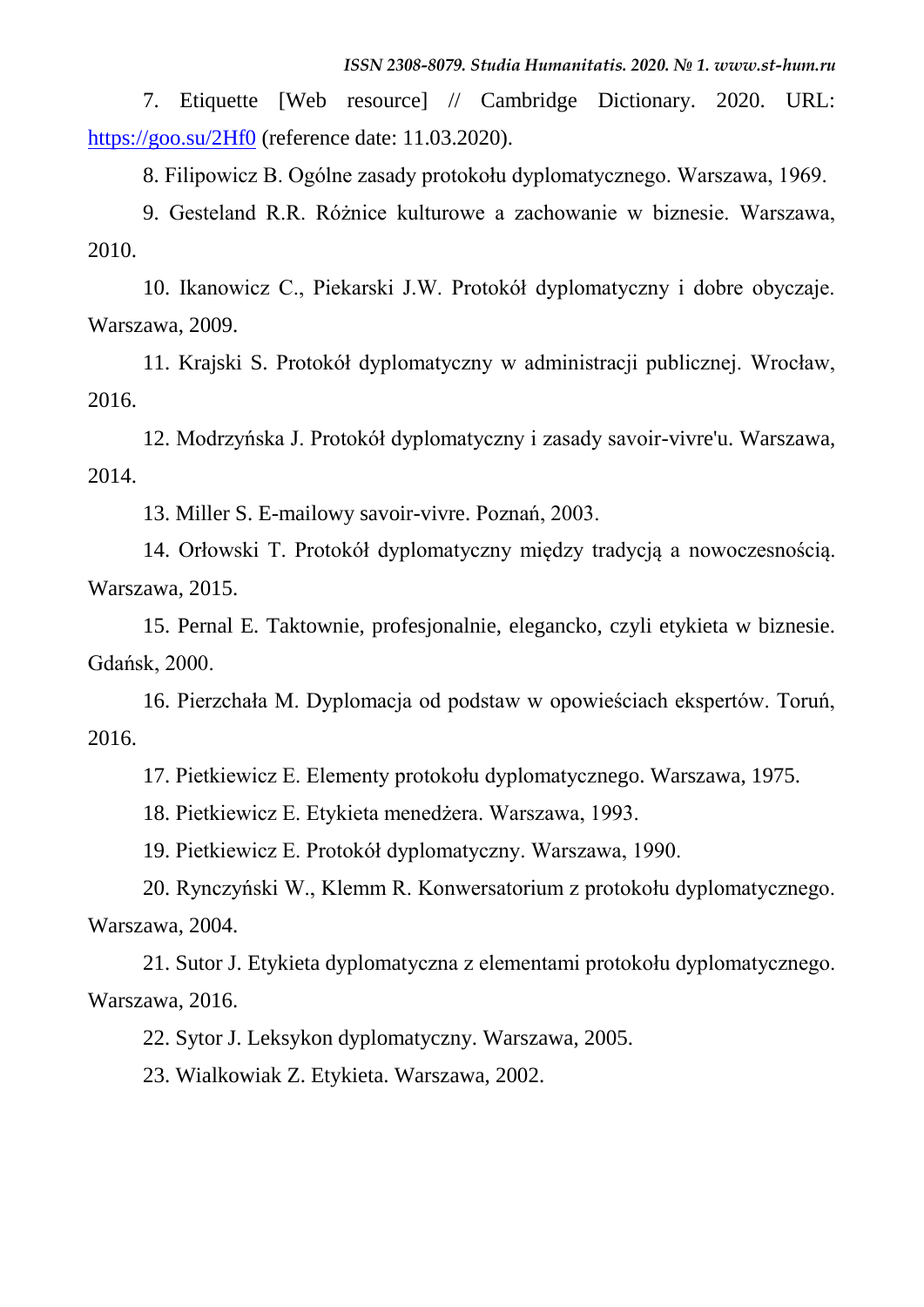7. Etiquette [Web resource] // Cambridge Dictionary. 2020. URL: <https://goo.su/2Hf0> (reference date: 11.03.2020).

8. Filipowicz B. Ogólne zasady protokołu dyplomatycznego. Warszawa, 1969.

9. Gesteland R.R. Różnice kulturowe a zachowanie w biznesie. Warszawa, 2010.

10. Ikanowicz C., Piekarski J.W. Protokół dyplomatyczny i dobre obyczaje. Warszawa, 2009.

11. Krajski S. Protokół dyplomatyczny w administracji publicznej. Wrocław, 2016.

12. Modrzyńska J. Protokół dyplomatyczny i zasady savoir-vivre'u. Warszawa, 2014.

13. Miller S. E-mailowy savoir-vivre. Poznań, 2003.

14. Orłowski T. Protokół dyplomatyczny między tradycją a nowoczesnością. Warszawa, 2015.

15. Pernal E. Taktownie, profesjonalnie, elegancko, czyli etykieta w biznesie. Gdańsk, 2000.

16. Pierzchała M. Dyplomacja od podstaw w opowieściach ekspertów. Toruń, 2016.

17. Pietkiewicz E. Elementy protokołu dyplomatycznego. Warszawa, 1975.

18. Pietkiewicz E. Etykieta menedżera. Warszawa, 1993.

19. Pietkiewicz E. Protokół dyplomatyczny. Warszawa, 1990.

20. Rynczyński W., Klemm R. Konwersatorium z protokołu dyplomatycznego. Warszawa, 2004.

21. Sutor J. Etykieta dyplomatyczna z elementami protokołu dyplomatycznego. Warszawa, 2016.

22. Sytor J. Leksykon dyplomatyczny. Warszawa, 2005.

23. Wialkowiak Z. Etykieta. Warszawa, 2002.